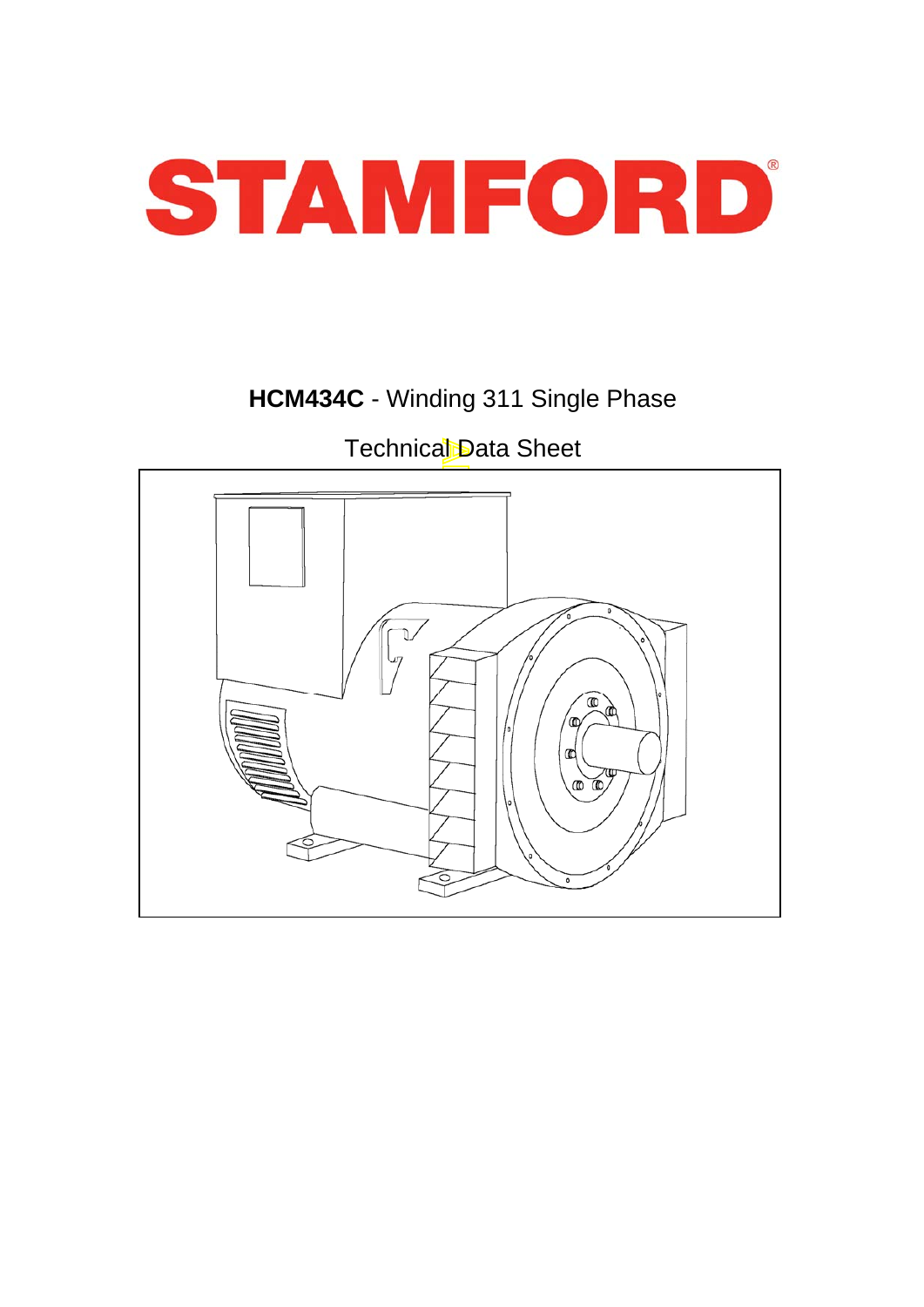

# **HCM434C** - Winding 311 Single Phase

# Technical Data Sheet

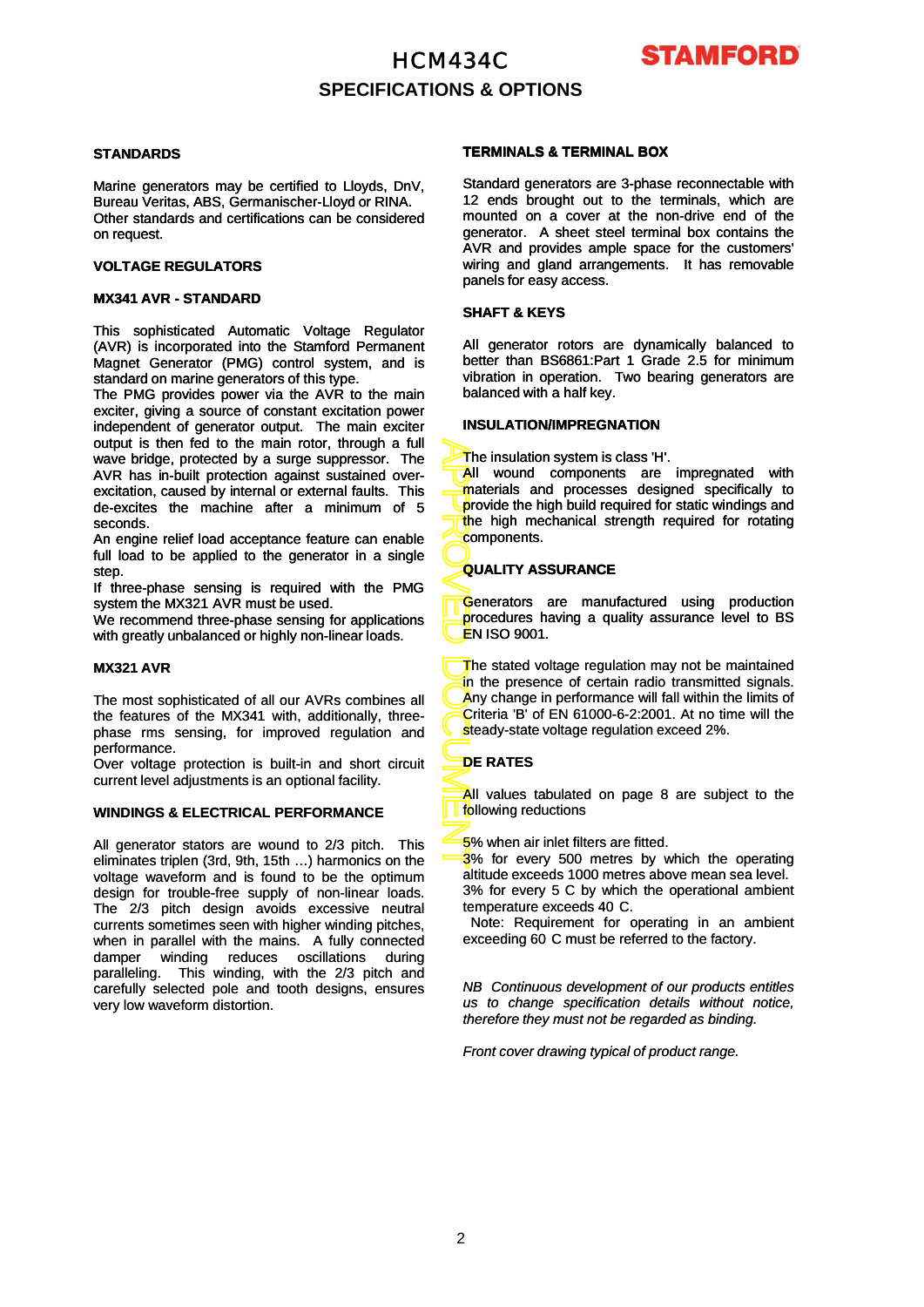

## **SPECIFICATIONS & OPTIONS**

#### **STANDARDS**

Marine generators may be certified to Lloyds, DnV, Bureau Veritas, ABS, Germanischer-Lloyd or RINA. Other standards and certifications can be considered on request.

#### **VOLTAGE REGULATORS**

### **MX341 AVR - STANDARD**

This sophisticated Automatic Voltage Regulator (AVR) is incorporated into the Stamford Permanent Magnet Generator (PMG) control system, and is standard on marine generators of this type.

The PMG provides power via the AVR to the main exciter, giving a source of constant excitation power independent of generator output. The main exciter output is then fed to the main rotor, through a full wave bridge, protected by a surge suppressor. The AVR has in-built protection against sustained overexcitation, caused by internal or external faults. This de-excites the machine after a minimum of 5 seconds.

An engine relief load acceptance feature can enable full load to be applied to the generator in a single step.

If three-phase sensing is required with the PMG system the MX321 AVR must be used.

We recommend three-phase sensing for applications with greatly unbalanced or highly non -linear loads with greatly unbalanced or highly non-linear loads.

#### **MX321 AVR**

The most sophisticated of all our AVRs combines all the features of the MX341 with, additionally, threephase rms sensing, for improved regulation and performance.

Over voltage protection is built-in and short circuit current level adjustments is an optional facility.

#### **WINDINGS & ELECTRICAL PERFORMANCE**

All generator stators are wound to 2/3 pitch. This eliminates triplen (3rd, 9th, 15th …) harmonics on the voltage waveform and is found to be the optimum design for trouble-free supply of non-linear loads. The 2/3 pitch design avoids excessive neutral currents sometimes seen with higher winding pitches, when in parallel with the mains. A fully connected damper winding reduces oscillations during paralleling. This winding, with the 2/3 pitch and carefully selected pole and tooth designs, ensures very low waveform distortion.

### **TERMINALS & TERMINAL BOX**

Standard generators are 3-phase reconnectable with 12 ends brought out to the terminals, which are mounted on a cover at the non-drive end of the generator. A sheet steel terminal box contains the AVR and provides ample space for the customers' wiring and gland arrangements. It has removable panels for easy access.

#### **SHAFT & KEYS**

All generator rotors are dynamically balanced to better than BS6861:Part 1 Grade 2.5 for minimum vibration in operation. Two bearing generators are balanced with a half key.

### **INSULATION/IMPREGNATION**

The insulation system is class 'H'.

All wound components are impregnated with materials and processes designed specifically to provide the high build required for static windings and the high mechanical strength required for rotating components.

### **QUALITY ASSURANCE**

Generators are manufactured using production procedures having a quality assurance level to BS <mark>Ë</mark>N ISO 9001.

APPROVED DOCUMENT The stated voltage regulation may not be maintained in the presence of certain radio transmitted signals. Any change in performance will fall within the limits of Criteria 'B' of EN 61000-6-2:2001. At no time will the steady-state voltage regulation exceed 2%.

### **DE RATES**

All values tabulated on page 8 are subject to the following reductions

5% when air inlet filters are fitted.

3% for every 500 metres by which the operating altitude exceeds 1000 metres above mean sea level. 3% for every 5 C by which the operational ambient temperature exceeds 40 C.

Note: Requirement for operating in an ambient exceeding 60 C must be referred to the factory.

*NB Continuous development of our products entitles us to change specification details without notice, therefore they must not be regarded as binding.*

*Front cover drawing typical of product range.*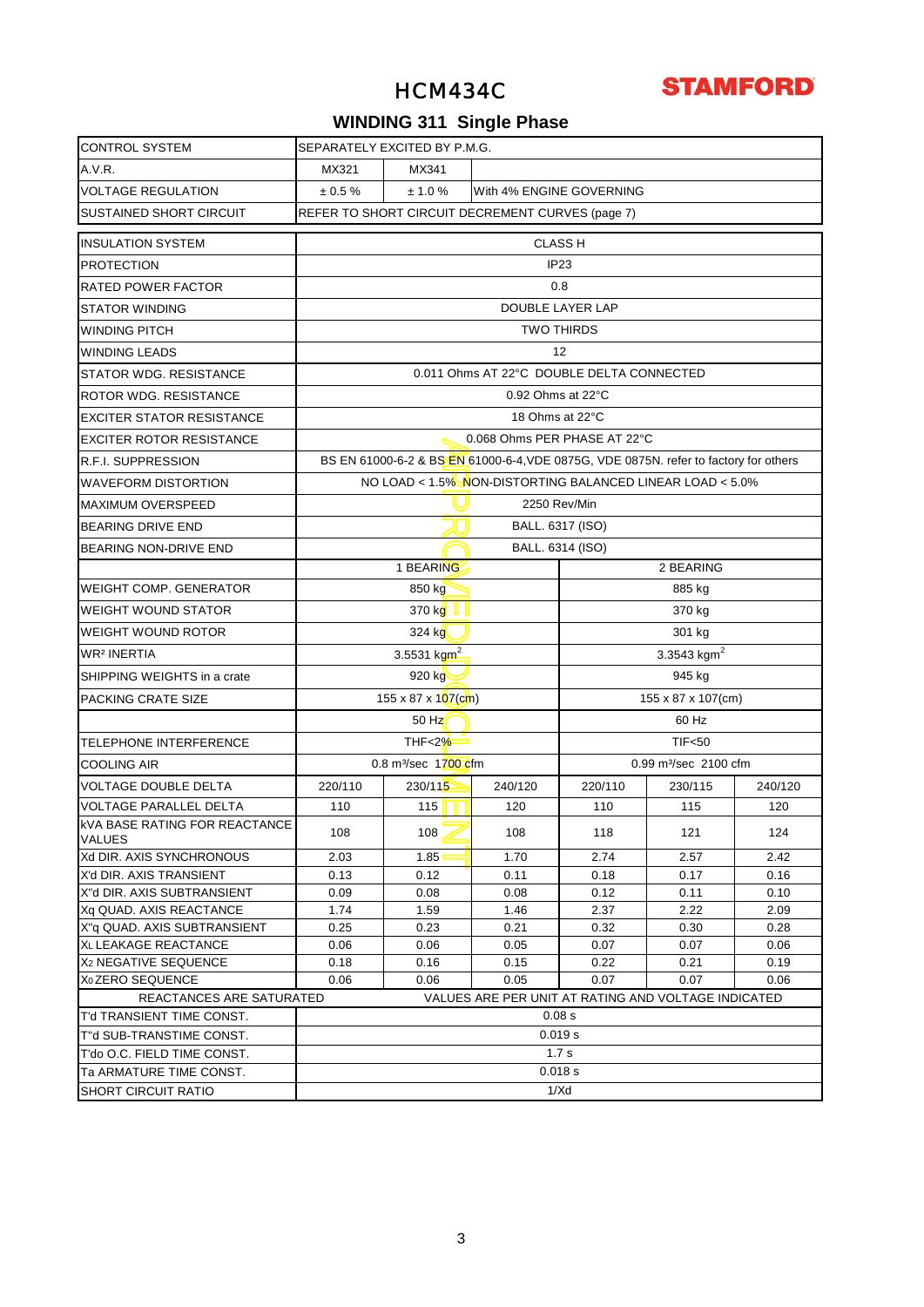

# **WINDING 311 Single Phase**

| <b>CONTROL SYSTEM</b>                                 | SEPARATELY EXCITED BY P.M.G.                              |                                                                                      |                                                  |                                                     |                                   |         |  |  |  |  |
|-------------------------------------------------------|-----------------------------------------------------------|--------------------------------------------------------------------------------------|--------------------------------------------------|-----------------------------------------------------|-----------------------------------|---------|--|--|--|--|
| A.V.R.                                                | MX321                                                     | MX341                                                                                |                                                  |                                                     |                                   |         |  |  |  |  |
| <b>VOLTAGE REGULATION</b>                             | ± 0.5 %                                                   | ± 1.0 %                                                                              |                                                  | With 4% ENGINE GOVERNING                            |                                   |         |  |  |  |  |
| <b>SUSTAINED SHORT CIRCUIT</b>                        |                                                           |                                                                                      | REFER TO SHORT CIRCUIT DECREMENT CURVES (page 7) |                                                     |                                   |         |  |  |  |  |
| <b>INSULATION SYSTEM</b>                              |                                                           |                                                                                      |                                                  | <b>CLASS H</b>                                      |                                   |         |  |  |  |  |
| <b>PROTECTION</b>                                     |                                                           |                                                                                      |                                                  | IP <sub>23</sub>                                    |                                   |         |  |  |  |  |
| RATED POWER FACTOR                                    |                                                           |                                                                                      |                                                  | 0.8                                                 |                                   |         |  |  |  |  |
| <b>STATOR WINDING</b>                                 |                                                           |                                                                                      |                                                  | DOUBLE LAYER LAP                                    |                                   |         |  |  |  |  |
| <b>WINDING PITCH</b>                                  |                                                           |                                                                                      |                                                  | <b>TWO THIRDS</b>                                   |                                   |         |  |  |  |  |
| <b>WINDING LEADS</b>                                  |                                                           |                                                                                      |                                                  | 12                                                  |                                   |         |  |  |  |  |
| STATOR WDG. RESISTANCE                                | 0.011 Ohms AT 22°C DOUBLE DELTA CONNECTED                 |                                                                                      |                                                  |                                                     |                                   |         |  |  |  |  |
| ROTOR WDG. RESISTANCE                                 |                                                           |                                                                                      | $0.92$ Ohms at 22 $\degree$ C                    |                                                     |                                   |         |  |  |  |  |
| <b>EXCITER STATOR RESISTANCE</b>                      |                                                           |                                                                                      | 18 Ohms at 22°C                                  |                                                     |                                   |         |  |  |  |  |
| <b>EXCITER ROTOR RESISTANCE</b>                       |                                                           |                                                                                      |                                                  | 0.068 Ohms PER PHASE AT 22°C                        |                                   |         |  |  |  |  |
| R.F.I. SUPPRESSION                                    |                                                           | BS EN 61000-6-2 & BS EN 61000-6-4, VDE 0875G, VDE 0875N. refer to factory for others |                                                  |                                                     |                                   |         |  |  |  |  |
| <b>WAVEFORM DISTORTION</b>                            | NO LOAD < 1.5% NON-DISTORTING BALANCED LINEAR LOAD < 5.0% |                                                                                      |                                                  |                                                     |                                   |         |  |  |  |  |
| <b>MAXIMUM OVERSPEED</b>                              | 2250 Rev/Min                                              |                                                                                      |                                                  |                                                     |                                   |         |  |  |  |  |
| <b>BEARING DRIVE END</b>                              | BALL. 6317 (ISO)                                          |                                                                                      |                                                  |                                                     |                                   |         |  |  |  |  |
| BEARING NON-DRIVE END                                 |                                                           |                                                                                      |                                                  |                                                     |                                   |         |  |  |  |  |
|                                                       | BALL. 6314 (ISO)<br>1 BEARING<br>2 BEARING                |                                                                                      |                                                  |                                                     |                                   |         |  |  |  |  |
| <b>WEIGHT COMP. GENERATOR</b>                         | 850 kg<br>885 kg                                          |                                                                                      |                                                  |                                                     |                                   |         |  |  |  |  |
| <b>WEIGHT WOUND STATOR</b>                            | 370 kg<br>370 kg                                          |                                                                                      |                                                  |                                                     |                                   |         |  |  |  |  |
| <b>WEIGHT WOUND ROTOR</b>                             | 324 kg<br>301 kg                                          |                                                                                      |                                                  |                                                     |                                   |         |  |  |  |  |
|                                                       |                                                           |                                                                                      |                                                  |                                                     | 3.3543 $kgm2$                     |         |  |  |  |  |
| WR <sup>2</sup> INERTIA                               |                                                           | 3.5531 kgm <sup>2</sup>                                                              |                                                  |                                                     |                                   |         |  |  |  |  |
| SHIPPING WEIGHTS in a crate                           |                                                           | 920 kg                                                                               |                                                  |                                                     | 945 kg                            |         |  |  |  |  |
| PACKING CRATE SIZE                                    |                                                           | $155 \times 87 \times 107$ (cm)                                                      |                                                  |                                                     | 155 x 87 x 107(cm)                |         |  |  |  |  |
|                                                       |                                                           | $50$ Hz                                                                              |                                                  |                                                     | 60 Hz                             |         |  |  |  |  |
| TELEPHONE INTERFERENCE                                |                                                           | THF<2%<br>Ξ                                                                          |                                                  |                                                     | <b>TIF&lt;50</b>                  |         |  |  |  |  |
| <b>COOLING AIR</b>                                    |                                                           | 0.8 m <sup>3</sup> /sec 1700 cfm                                                     |                                                  |                                                     | 0.99 m <sup>3</sup> /sec 2100 cfm |         |  |  |  |  |
| <b>VOLTAGE DOUBLE DELTA</b>                           | 220/110                                                   | 230/115                                                                              | 240/120                                          | 220/110                                             | 230/115                           | 240/120 |  |  |  |  |
| <b>VOLTAGE PARALLEL DELTA</b>                         | 110                                                       | 115                                                                                  | 120                                              | 110                                                 | 115                               | 120     |  |  |  |  |
| <b>KVA BASE RATING FOR REACTANCE</b><br><b>VALUES</b> | 108                                                       | 108                                                                                  | 108                                              | 118                                                 | 121                               | 124     |  |  |  |  |
| Xd DIR. AXIS SYNCHRONOUS                              | 2.03                                                      | 1.85                                                                                 | 1.70                                             | 2.74                                                | 2.57                              | 2.42    |  |  |  |  |
| X'd DIR. AXIS TRANSIENT                               | 0.13                                                      | 0.12                                                                                 | 0.11                                             | 0.18                                                | 0.17                              | 0.16    |  |  |  |  |
| X"d DIR. AXIS SUBTRANSIENT                            | 0.09                                                      | 0.08                                                                                 | 0.08                                             | 0.12                                                | 0.11                              | 0.10    |  |  |  |  |
| Xq QUAD, AXIS REACTANCE                               | 1.74                                                      | 1.59                                                                                 | 1.46                                             | 2.37                                                | 2.22                              | 2.09    |  |  |  |  |
| X"q QUAD. AXIS SUBTRANSIENT                           | 0.25                                                      | 0.23                                                                                 | 0.21                                             | 0.32                                                | 0.30                              | 0.28    |  |  |  |  |
| XL LEAKAGE REACTANCE                                  | 0.06                                                      | 0.06                                                                                 | 0.05                                             | 0.07                                                | 0.07                              | 0.06    |  |  |  |  |
| X <sub>2</sub> NEGATIVE SEQUENCE                      | 0.18                                                      | 0.16                                                                                 | 0.15                                             | 0.22                                                | 0.21                              | 0.19    |  |  |  |  |
| X <sub>0</sub> ZERO SEQUENCE                          | 0.06                                                      | 0.06                                                                                 | 0.05                                             | 0.07                                                | 0.07                              | 0.06    |  |  |  |  |
| REACTANCES ARE SATURATED                              |                                                           |                                                                                      |                                                  | VALUES ARE PER UNIT AT RATING AND VOLTAGE INDICATED |                                   |         |  |  |  |  |
| T'd TRANSIENT TIME CONST.                             |                                                           |                                                                                      |                                                  | 0.08 s                                              |                                   |         |  |  |  |  |
| T"d SUB-TRANSTIME CONST.                              |                                                           |                                                                                      |                                                  | 0.019 s                                             |                                   |         |  |  |  |  |
| T'do O.C. FIELD TIME CONST.                           |                                                           |                                                                                      |                                                  | 1.7 <sub>s</sub>                                    |                                   |         |  |  |  |  |
| Ta ARMATURE TIME CONST.                               |                                                           |                                                                                      |                                                  | 0.018 s                                             |                                   |         |  |  |  |  |
| <b>SHORT CIRCUIT RATIO</b>                            | 1/Xd                                                      |                                                                                      |                                                  |                                                     |                                   |         |  |  |  |  |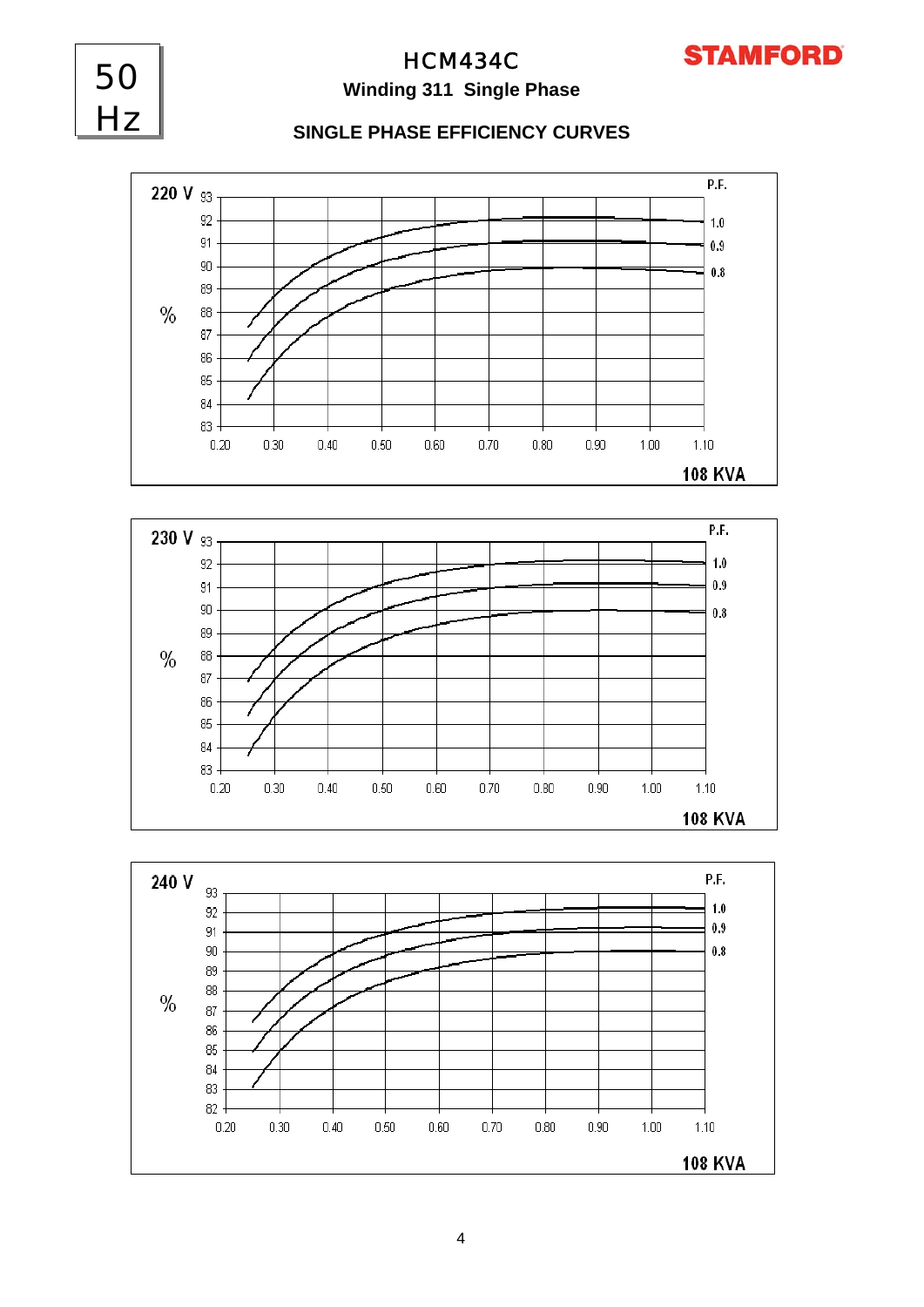

## HCM434C **Winding 311 Single Phase**

50

Hz

## **SINGLE PHASE EFFICIENCY CURVES**





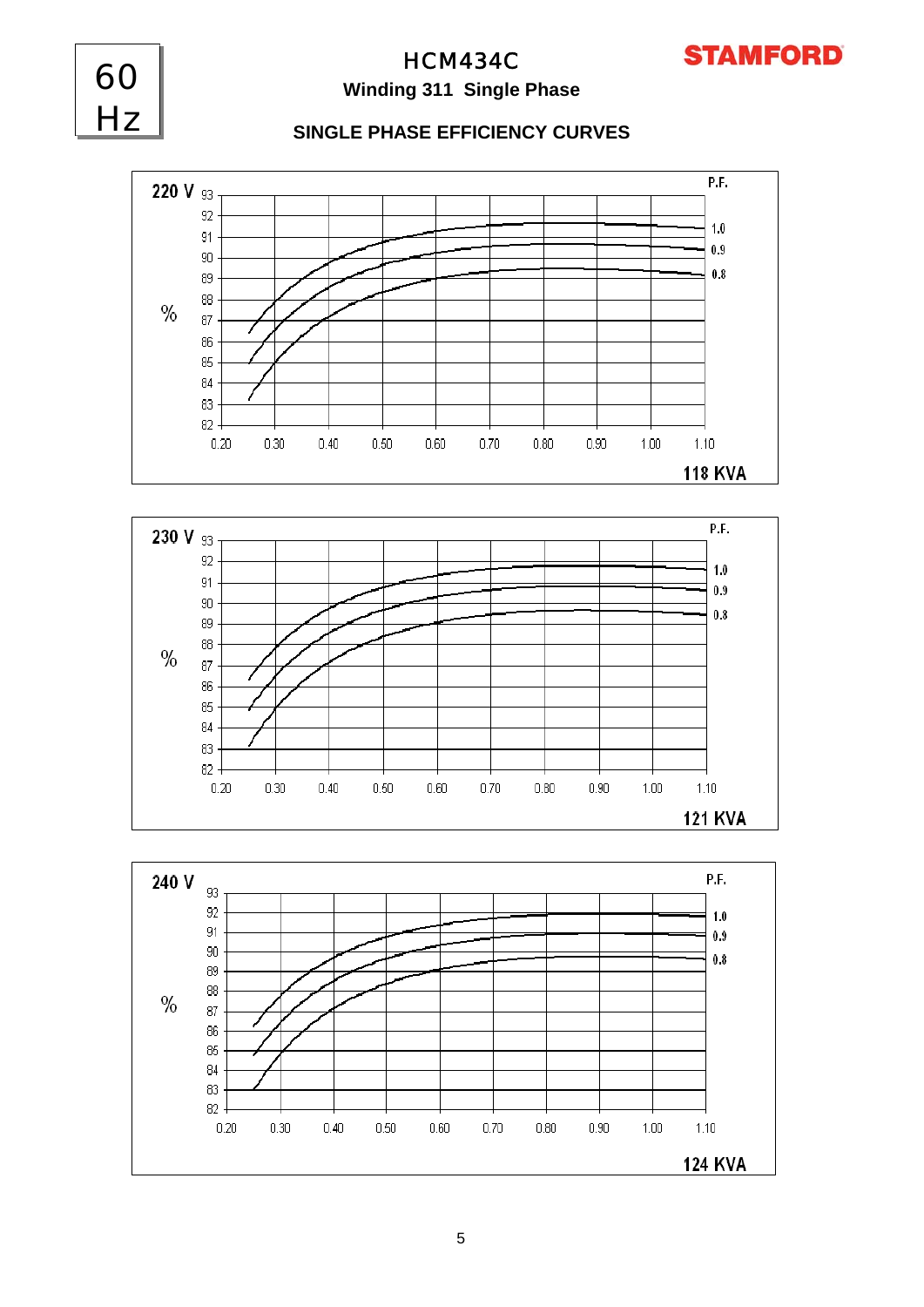

## **Winding 311 Single Phase**

60

Hz

HCM434C

## **SINGLE PHASE EFFICIENCY CURVES**





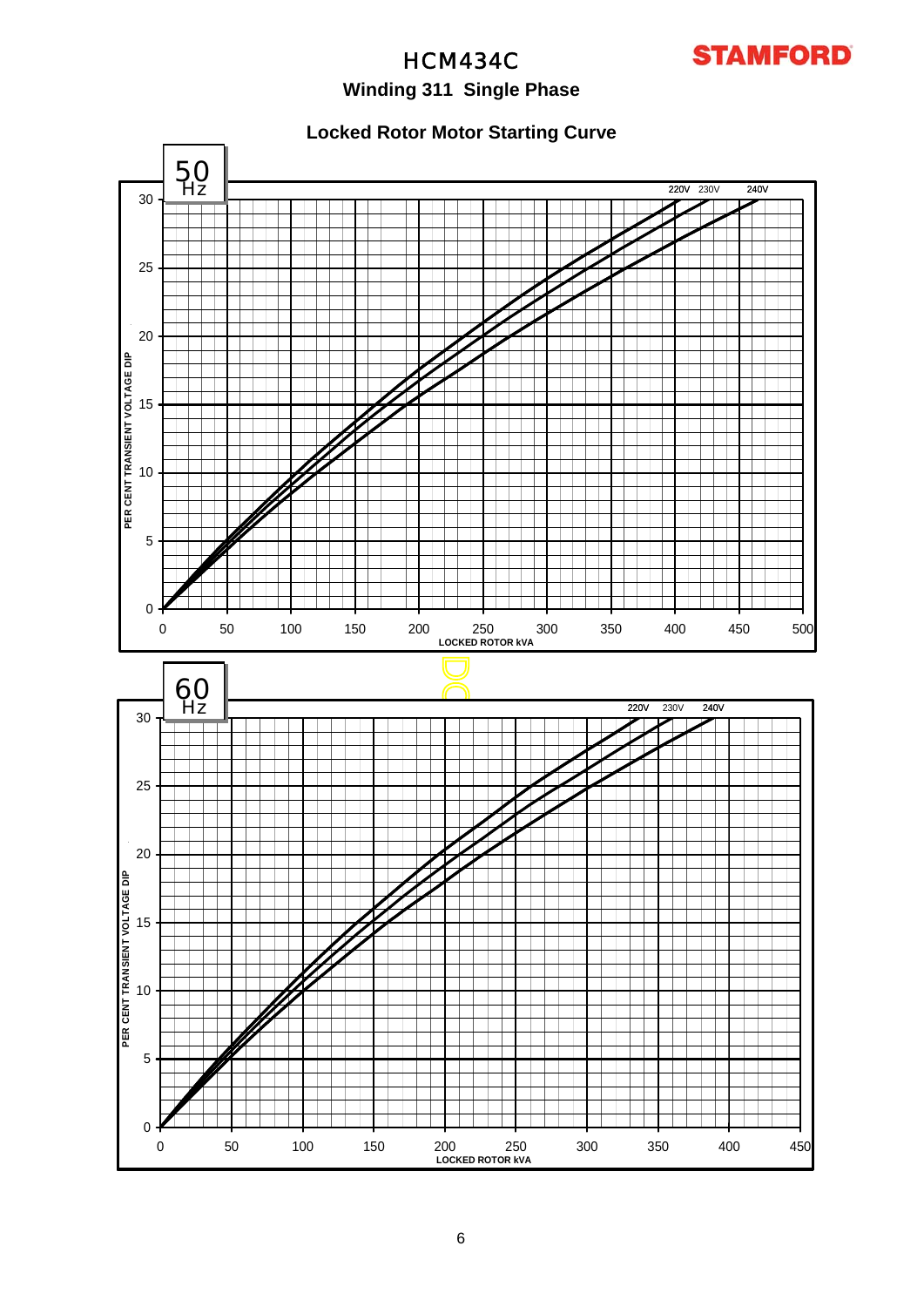

## **Winding 311 Single Phase**

## **Locked Rotor Motor Starting Curve**

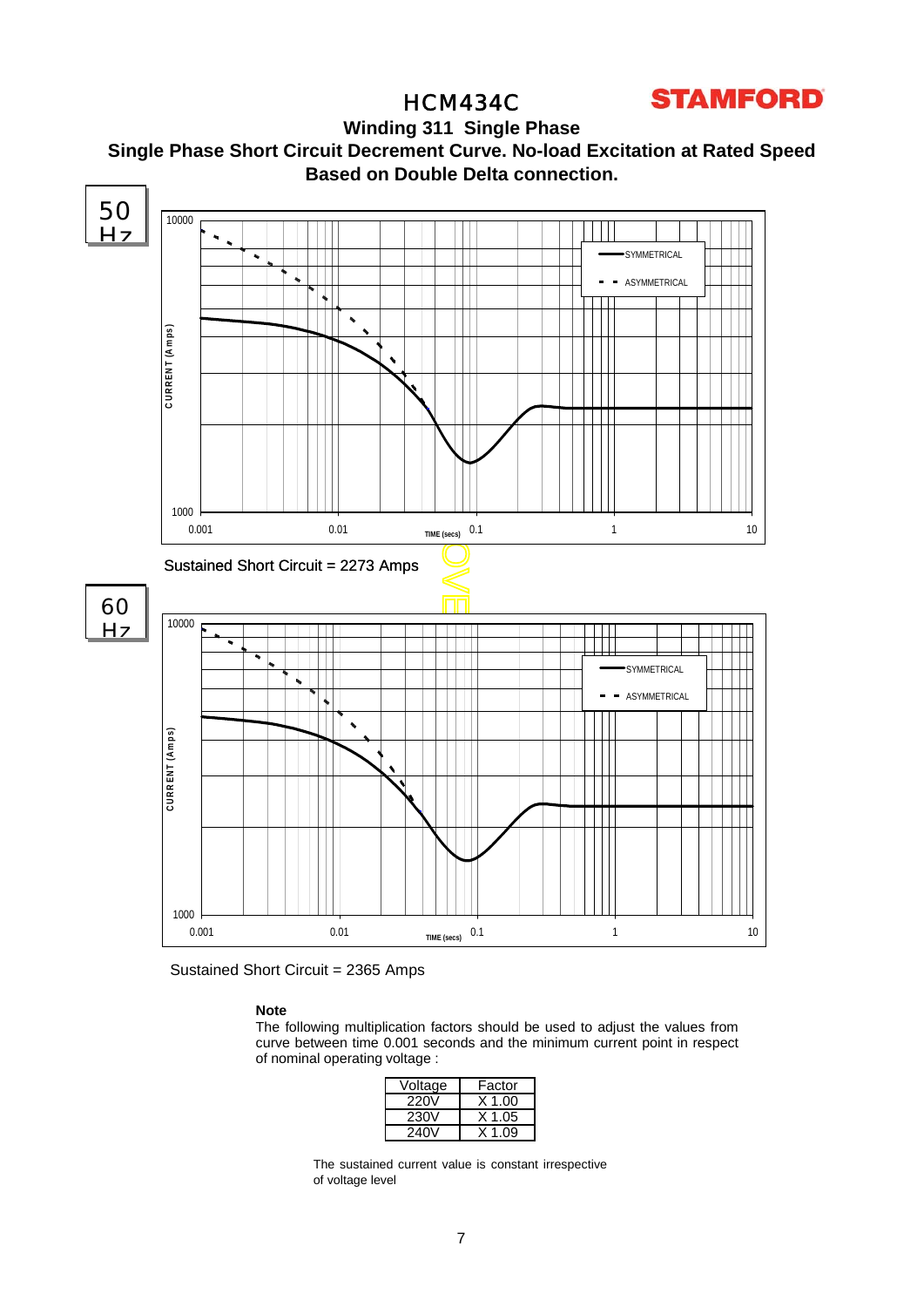# **STAMFORD**

## HCM434C

**Winding 311 Single Phase Single Phase Short Circuit Decrement Curve. No-load Excitation at Rated Speed Based on Double Delta connection.**



Sustained Short Circuit = 2365 Amps

## **Note**

The following multiplication factors should be used to adjust the values from curve between time 0.001 seconds and the minimum current point in respect of nominal operating voltage :

| Voltage | Factor   |
|---------|----------|
| 220V    | $X$ 1.00 |
| 230V    | $X$ 1.05 |
| 240V    | X 1 09   |

The sustained current value is constant irrespective of voltage level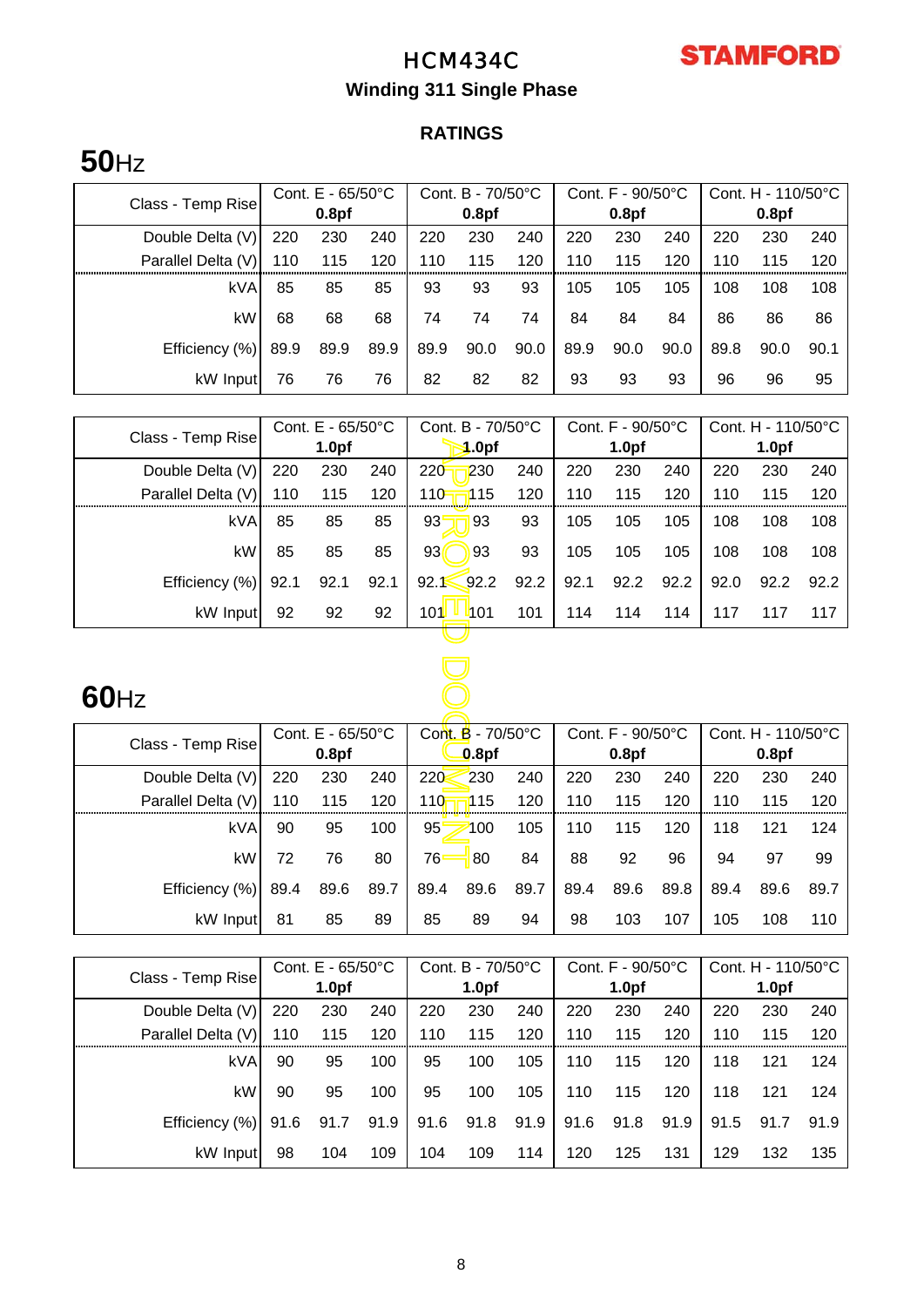

# **Winding 311 Single Phase**

# **RATINGS**

# **50**Hz

| Class - Temp Rise  | Cont. $E - 65/50^{\circ}C$ |      |      | Cont. B - 70/50°C |      |      | Cont. F - 90/50°C |                   |      | Cont. H - $110/50^{\circ}$ C |      |      |  |
|--------------------|----------------------------|------|------|-------------------|------|------|-------------------|-------------------|------|------------------------------|------|------|--|
|                    | 0.8 <sub>pf</sub>          |      |      | 0.8 <sub>pf</sub> |      |      |                   | 0.8 <sub>pf</sub> |      | 0.8 <sub>pf</sub>            |      |      |  |
| Double Delta (V)   | 220                        | 230  | 240  | 220               | 230  | 240  | 220               | 230               | 240  | 220                          | 230  | 240  |  |
| Parallel Delta (V) | 110                        | 115  | 120  | 110               | 115  | 120  | 110               | 115               | 120  | 110                          | 115  | 120  |  |
| <b>kVA</b>         | 85                         | 85   | 85   | 93                | 93   | 93   | 105               | 105               | 105  | 108                          | 108  | 108  |  |
| kW                 | 68                         | 68   | 68   | 74                | 74   | 74   | 84                | 84                | 84   | 86                           | 86   | 86   |  |
| Efficiency (%)     | 89.9                       | 89.9 | 89.9 | 89.9              | 90.0 | 90.0 | 89.9              | 90.0              | 90.0 | 89.8                         | 90.0 | 90.1 |  |
| kW Input           | 76                         | 76   | 76   | 82                | 82   | 82   | 93                | 93                | 93   | 96                           | 96   | 95   |  |

| Cont. E - 65/50°C<br>Class - Temp Rise |      |                   | Cont. B - 70/50°C |                       |      | Cont. F - 90/50°C | Cont. H - 110/50°C |                    |                   |                   |      |
|----------------------------------------|------|-------------------|-------------------|-----------------------|------|-------------------|--------------------|--------------------|-------------------|-------------------|------|
|                                        |      | 1.0 <sub>pf</sub> |                   | 1.0 <sub>pf</sub>     |      |                   | 1.0 <sub>pf</sub>  |                    |                   | 1.0 <sub>pf</sub> |      |
| Double Delta (V)                       | 220  | 230               | 240               | 220<br>230            | 240  | 220               | 230                | 240                | 220               | 230               | 240  |
| Parallel Delta (V)                     | 110  | 115               | 120               | 110<br>115            | 120  | 110               | 115                | 120                | 110               | 115               | 120  |
| kVA                                    | 85   | 85                | 85                | 93<br>93              | 93   | 105               | 105                | 105                | 108               | 108               | 108  |
| kW                                     | 85   | 85                | 85                | 93 <sub>0</sub><br>93 | 93   | 105               | 105                | 105                | 108               | 108               | 108  |
| Efficiency (%)                         | 92.1 | 92.1              | 92.1              | 92.2<br>92.1          | 92.2 | 92.1              | 92.2               | 92.2               | 92.0              | 92.2              | 92.2 |
| kW Input                               | 92   | 92                | 92                | 101<br><b>4</b> 01    | 101  | 114               | 114                | 114                | 117               | 117               | 117  |
|                                        |      |                   |                   |                       |      |                   |                    |                    |                   |                   |      |
|                                        |      |                   |                   |                       |      |                   |                    |                    |                   |                   |      |
| $60$ Hz                                |      |                   |                   |                       |      |                   |                    |                    |                   |                   |      |
|                                        |      | Cont. E - 65/50°C |                   | Cont. B - 70/50°C     |      | Cont. F - 90/50°C |                    | Cont. H - 110/50°C |                   |                   |      |
| Class - Temp Rise                      |      | 0.8 <sub>pf</sub> |                   | 0.8pf                 |      |                   | 0.8 <sub>pf</sub>  |                    | 0.8 <sub>pf</sub> |                   |      |
| Double Delta (V)                       | 220  | 230               | 240               | 220<br>230            | 240  | 220               | 230                | 240                | 220               | 230               | 240  |
| Parallel Delta (V)                     | 110  | 115               | 120               | 110<br>115            | 120  | 110               | 115                | 120                | 110               | 115               | 120  |
| kVA                                    | 90   | 95                | 100               | 95<br>100             | 105  | 110               | 115                | 120                | 118               | 121               | 124  |
| kW                                     | 72   | 76                | 80                | 76<br>80              | 84   | 88                | 92                 | 96                 | 94                | 97                | 99   |

# **60**Hz

|                    | Cont. $E - 65/50^{\circ}C$<br>Class - Temp Rise<br>0.8 <sub>pf</sub> |      |      | Cont. $\overline{B}$ - 70/50 $\degree$ C |      |      | Cont. F - 90/50°C |                   |      | Cont. $H - 110/50^{\circ}C$ |      |      |  |
|--------------------|----------------------------------------------------------------------|------|------|------------------------------------------|------|------|-------------------|-------------------|------|-----------------------------|------|------|--|
|                    |                                                                      |      |      | 0.8 <sub>pf</sub>                        |      |      |                   | 0.8 <sub>pf</sub> |      | 0.8 <sub>pf</sub>           |      |      |  |
| Double Delta (V)   | 220                                                                  | 230  | 240  | 220                                      | 230  | 240  | 220               | 230               | 240  | 220                         | 230  | 240  |  |
| Parallel Delta (V) | 110                                                                  | 115  | 120  | 110                                      | i115 | 120  | 110               | 115               | 120  | 110                         | 115  | 120  |  |
| kVA                | 90                                                                   | 95   | 100  | 95                                       | 100  | 105  | 110               | 115               | 120  | 118                         | 121  | 124  |  |
| kW                 | 72                                                                   | 76   | 80   | 76                                       | 80   | 84   | 88                | 92                | 96   | 94                          | 97   | 99   |  |
| Efficiency (%)     | 89.4                                                                 | 89.6 | 89.7 | 89.4                                     | 89.6 | 89.7 | 89.4              | 89.6              | 89.8 | 89.4                        | 89.6 | 89.7 |  |
| kW Input           | 81                                                                   | 85   | 89   | 85                                       | 89   | 94   | 98                | 103               | 107  | 105                         | 108  | 110  |  |

| Class - Temp Rise  | Cont. $E - 65/50^{\circ}C$ |      |      | Cont. B - 70/50°C |      |      | Cont. F - 90/50°C |                   |      | Cont. $H - 110/50^{\circ}C$ |      |      |
|--------------------|----------------------------|------|------|-------------------|------|------|-------------------|-------------------|------|-----------------------------|------|------|
|                    | 1.0 <sub>pf</sub>          |      |      | 1.0 <sub>pf</sub> |      |      |                   | 1.0 <sub>pf</sub> |      | 1.0 <sub>pf</sub>           |      |      |
| Double Delta (V)   | 220                        | 230  | 240  | 220               | 230  | 240  | 220               | 230               | 240  | 220                         | 230  | 240  |
| Parallel Delta (V) | 110                        | 115  | 120  | 110               | 115  | 120  | 110               | 115               | 120  | 110                         | 115  | 120  |
| kVA                | 90                         | 95   | 100  | 95                | 100  | 105  | 110               | 115               | 120  | 118                         | 121  | 124  |
| kW                 | 90                         | 95   | 100  | 95                | 100  | 105  | 110               | 115               | 120  | 118                         | 121  | 124  |
| Efficiency (%)     | 91.6                       | 91.7 | 91.9 | 91.6              | 91.8 | 91.9 | 91.6              | 91.8              | 91.9 | 91.5                        | 91.7 | 91.9 |
| kW Input           | 98                         | 104  | 109  | 104               | 109  | 114  | 120               | 125               | 131  | 129                         | 132  | 135  |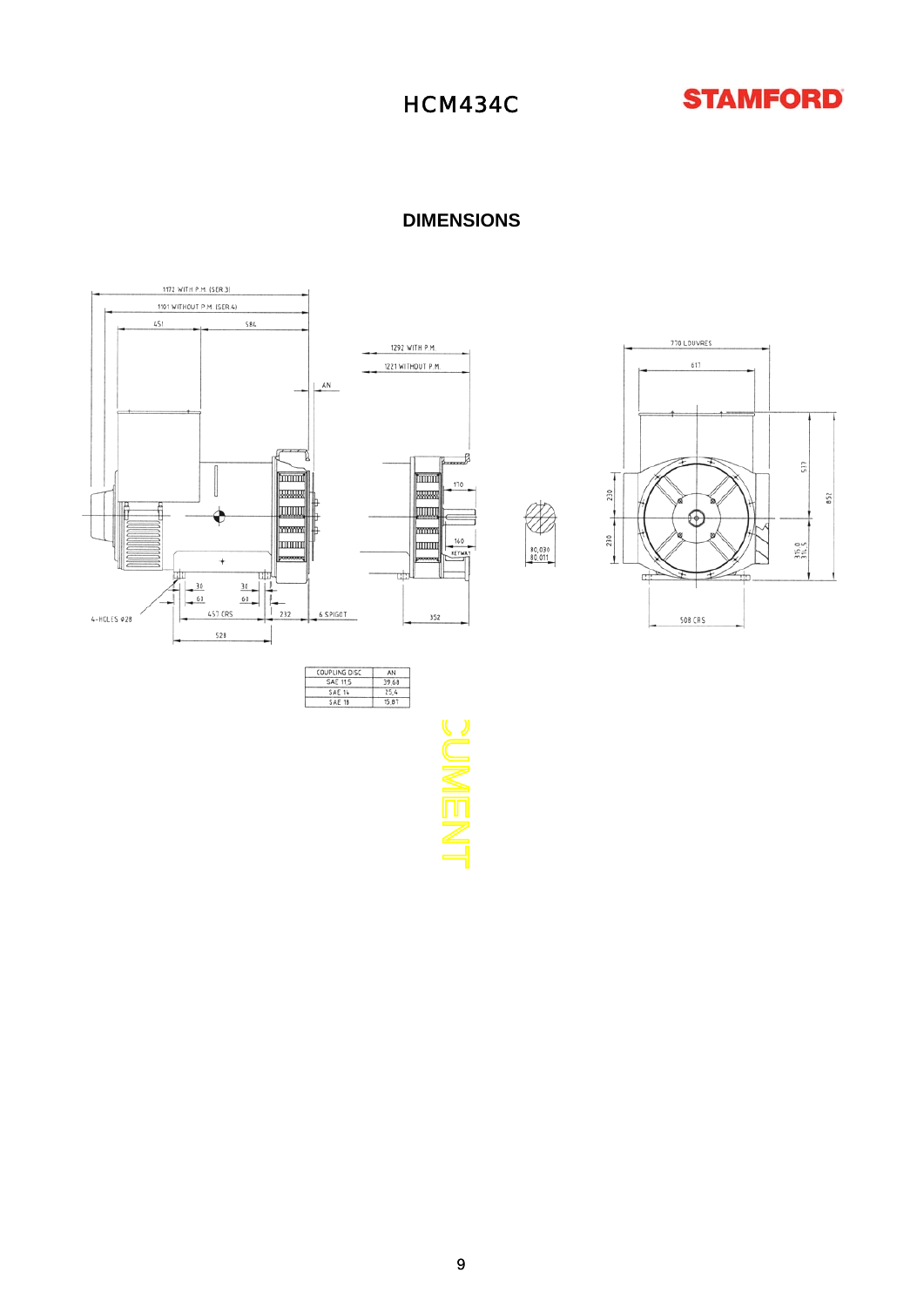



**DIMENSIONS**







 $\frac{80,030}{80,011}$